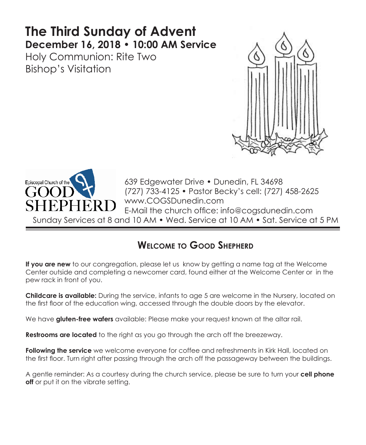# **The Third Sunday of Advent December 16, 2018 • 10:00 AM Service**

Holy Communion: Rite Two Bishop's Visitation





639 Edgewater Drive • Dunedin, FL 34698 (727) 733-4125 • Pastor Becky's cell: (727) 458-2625 www.COGSDunedin.com E-Mail the church office: info@cogsdunedin.com

Sunday Services at 8 and 10 AM • Wed. Service at 10 AM • Sat. Service at 5 PM

## **Welcome to Good Shepherd**

**If you are new** to our congregation, please let us know by getting a name tag at the Welcome Center outside and completing a newcomer card, found either at the Welcome Center or in the pew rack in front of you.

**Childcare is available:** During the service, infants to age 5 are welcome in the Nursery, located on the first floor of the education wing, accessed through the double doors by the elevator.

We have **gluten-free wafers** available: Please make your request known at the altar rail.

**Restrooms are located** to the right as you go through the arch off the breezeway.

**Following the service** we welcome everyone for coffee and refreshments in Kirk Hall, located on the first floor. Turn right after passing through the arch off the passageway between the buildings.

A gentle reminder: As a courtesy during the church service, please be sure to turn your **cell phone off** or put it on the vibrate setting.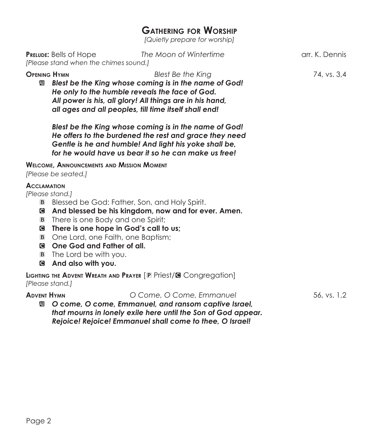## **Gathering for Worship**

*[Quietly prepare for worship]*

|                                                                                                                                                                                                                                                                                | <b>PRELUDE:</b> Bells of Hope<br>[Please stand when the chimes sound.]                                                                                                                                                                                      | The Moon of Wintertime                                                                                                                                                                                                           | arr. K. Dennis |
|--------------------------------------------------------------------------------------------------------------------------------------------------------------------------------------------------------------------------------------------------------------------------------|-------------------------------------------------------------------------------------------------------------------------------------------------------------------------------------------------------------------------------------------------------------|----------------------------------------------------------------------------------------------------------------------------------------------------------------------------------------------------------------------------------|----------------|
| <b>OPENING HYMN</b><br>Blest Be the King<br>Blest be the King whose coming is in the name of God!<br>AT<br>He only to the humble reveals the face of God.<br>All power is his, all glory! All things are in his hand,<br>all ages and all peoples, till time itself shall end! |                                                                                                                                                                                                                                                             |                                                                                                                                                                                                                                  | 74, vs. 3,4    |
|                                                                                                                                                                                                                                                                                |                                                                                                                                                                                                                                                             | Blest be the King whose coming is in the name of God!<br>He offers to the burdened the rest and grace they need<br>Gentle is he and humble! And light his yoke shall be,<br>for he would have us bear it so he can make us free! |                |
| <b>WELCOME, ANNOUNCEMENTS AND MISSION MOMENT</b><br>[Please be seated.]                                                                                                                                                                                                        |                                                                                                                                                                                                                                                             |                                                                                                                                                                                                                                  |                |
| <b>ACCLAMATION</b><br>[Please stand.]<br>B<br>q<br>$\boxed{B}$<br>$\mathbf G$<br>$\mathbf{B}$<br>$\mathbf{G}$<br>$\mathbf G$                                                                                                                                                   | Blessed be God: Father, Son, and Holy Spirit.<br>There is one Body and one Spirit;<br>There is one hope in God's call to us;<br>One Lord, one Faith, one Baptism;<br>One God and Father of all.<br>$\mathbf{B}$ The Lord be with you.<br>And also with you. | And blessed be his kingdom, now and for ever. Amen.                                                                                                                                                                              |                |
| LIGHTING THE ADVENT WREATH AND PRAYER [P Priest/@ Congregation]<br>[Please stand.]                                                                                                                                                                                             |                                                                                                                                                                                                                                                             |                                                                                                                                                                                                                                  |                |
| <b>ADVENT HYMN</b><br>AII                                                                                                                                                                                                                                                      |                                                                                                                                                                                                                                                             | O Come, O Come, Emmanuel<br>O come, O come, Emmanuel, and ransom captive Israel,<br>that mourns in lonely exile here until the Son of God appear.<br>Rejoice! Rejoice! Emmanuel shall come to thee, O Israel!                    | 56, vs. 1,2    |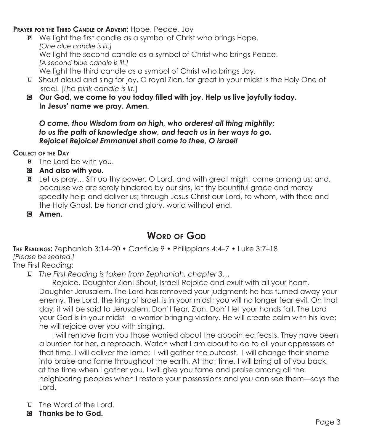#### **Prayer for the Third Candle of Advent:** Hope, Peace, Joy

- P We light the first candle as a symbol of Christ who brings Hope.  *[One blue candle is lit.]* We light the second candle as a symbol of Christ who brings Peace.  *[A second blue candle is lit.]* We light the third candle as a symbol of Christ who brings Joy.
- Lashout aloud and sing for joy, O royal Zion, for great in your midst is the Holy One of Israel. [*The pink candle is lit.*]
- C **Our God, we come to you today filled with joy. Help us live joyfully today. In Jesus' name we pray. Amen.**

*O come, thou Wisdom from on high, who orderest all thing mightily; to us the path of knowledge show, and teach us in her ways to go. Rejoice! Rejoice! Emmanuel shall come to thee, O Israel!*

**Collect of the Day** 

- B The Lord be with you.
- C **And also with you.**
- B Let us pray... Stir up thy power, O Lord, and with great might come among us; and, because we are sorely hindered by our sins, let thy bountiful grace and mercy speedily help and deliver us; through Jesus Christ our Lord, to whom, with thee and the Holy Ghost, be honor and glory, world without end.

C **Amen.**

## **WORD OF GOD**

**The Readings:** Zephaniah 3:14–20 • Canticle 9 • Philippians 4:4–7 • Luke 3:7–18 *[Please be seated.]*

The First Reading:

L *The First Reading is taken from Zephaniah, chapter 3…*

 Rejoice, Daughter Zion! Shout, Israel! Rejoice and exult with all your heart, Daughter Jerusalem. The Lord has removed your judgment; he has turned away your enemy. The Lord, the king of Israel, is in your midst; you will no longer fear evil. On that day, it will be said to Jerusalem: Don't fear, Zion. Don't let your hands fall. The Lord your God is in your midst—a warrior bringing victory. He will create calm with his love; he will rejoice over you with singing.

I will remove from you those worried about the appointed feasts. They have been a burden for her, a reproach. Watch what I am about to do to all your oppressors at that time. I will deliver the lame; I will gather the outcast. I will change their shame into praise and fame throughout the earth. At that time, I will bring all of you back, at the time when I gather you. I will give you fame and praise among all the neighboring peoples when I restore your possessions and you can see them—says the Lord.

- L The Word of the Lord.
- C **Thanks be to God.**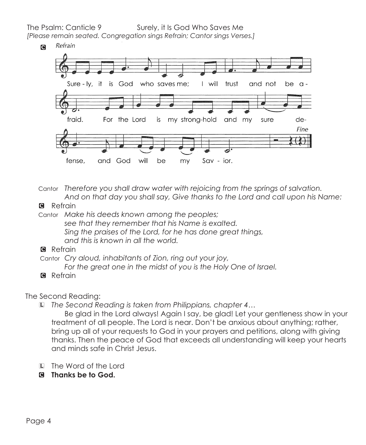The Psalm: Canticle 9 Surely, it Is God Who Saves Me

*[Please remain seated. Congregation sings Refrain; Cantor sings Verses.]*



Cantor *Therefore you shall draw water with rejoicing from the springs of salvation. And on that day you shall say, Give thanks to the Lord and call upon his Name:*

**G** Refrain

Cantor *Make his deeds known among the peoples; see that they remember that his Name is exalted. Sing the praises of the Lord, for he has done great things, and this is known in all the world.*

**G** Refrain

Cantor *Cry aloud, inhabitants of Zion, ring out your joy,*

 *For the great one in the midst of you is the Holy One of Israel.*

**G** Refrain

The Second Reading:

L *The Second Reading is taken from Philippians, chapter 4…*

 Be glad in the Lord always! Again I say, be glad! Let your gentleness show in your treatment of all people. The Lord is near. Don't be anxious about anything; rather, bring up all of your requests to God in your prayers and petitions, along with giving thanks. Then the peace of God that exceeds all understanding will keep your hearts and minds safe in Christ Jesus.

- L The Word of the Lord
- C **Thanks be to God.**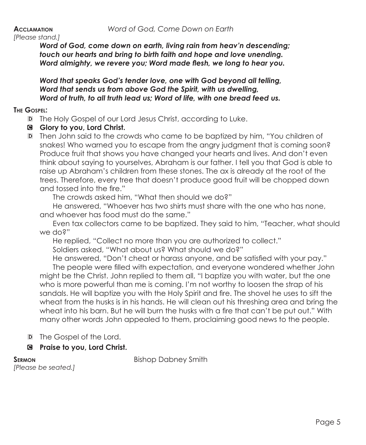# *[Please stand.]*

*Word of God, come down on earth, living rain from heav'n descending; touch our hearts and bring to birth faith and hope and love unending. Word almighty, we revere you; Word made flesh, we long to hear you.*

*Word that speaks God's tender love, one with God beyond all telling, Word that sends us from above God the Spirit, with us dwelling, Word of truth, to all truth lead us; Word of life, with one bread feed us.*

#### **The Gospel:**

- D The Holy Gospel of our Lord Jesus Christ, according to Luke.
- C **Glory to you, Lord Christ.**
- D Then John said to the crowds who came to be baptized by him, "You children of snakes! Who warned you to escape from the angry judgment that is coming soon? Produce fruit that shows you have changed your hearts and lives. And don't even think about saying to yourselves, Abraham is our father. I tell you that God is able to raise up Abraham's children from these stones. The ax is already at the root of the trees. Therefore, every tree that doesn't produce good fruit will be chopped down and tossed into the fire."

The crowds asked him, "What then should we do?"

He answered, "Whoever has two shirts must share with the one who has none, and whoever has food must do the same."

Even tax collectors came to be baptized. They said to him, "Teacher, what should we do?"

He replied, "Collect no more than you are authorized to collect."

Soldiers asked, "What about us? What should we do?"

He answered, "Don't cheat or harass anyone, and be satisfied with your pay." The people were filled with expectation, and everyone wondered whether John might be the Christ. John replied to them all, "I baptize you with water, but the one who is more powerful than me is coming. I'm not worthy to loosen the strap of his sandals. He will baptize you with the Holy Spirit and fire. The shovel he uses to sift the wheat from the husks is in his hands. He will clean out his threshing area and bring the wheat into his barn. But he will burn the husks with a fire that can't be put out." With many other words John appealed to them, proclaiming good news to the people.

- D The Gospel of the Lord.
- C **Praise to you, Lord Christ.**

**SERMON** Bishop Dabney Smith

*[Please be seated.]*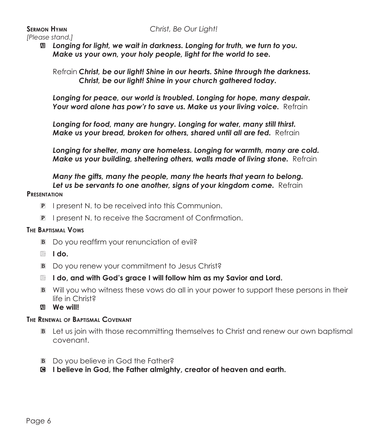*[Please stand.]*

a *Longing for light, we wait in darkness. Longing for truth, we turn to you. Make us your own, your holy people, light for the world to see.*

Refrain *Christ, be our light! Shine in our hearts. Shine through the darkness. Christ, be our light! Shine in your church gathered today.*

*Longing for peace, our world is troubled. Longing for hope, many despair.*  Your word alone has pow'r to save us. Make us your living voice. Refrain

*Longing for food, many are hungry. Longing for water, many still thirst. Make us your bread, broken for others, shared until all are fed. Refrain* 

*Longing for shelter, many are homeless. Longing for warmth, many are cold. Make us your building, sheltering others, walls made of living stone.* Refrain

*Many the gifts, many the people, many the hearts that yearn to belong.*  Let us be servants to one another, signs of your kingdom come. Refrain

#### **Presentation**

- P I present N. to be received into this Communion.
- P I present N. to receive the Sacrament of Confirmation.

#### **The Baptismal Vows**

- B Do you reaffirm your renunciation of evil?
- R **I do.**
- B Do you renew your commitment to Jesus Christ?
- **B** I do, and with God's grace I will follow him as my Savior and Lord.
- B Will you who witness these vows do all in your power to support these persons in their life in Christ?
- **M** We will!

#### **The Renewal of Baptismal Covenant**

- B Let us join with those recommitting themselves to Christ and renew our own baptismal covenant.
- B Do you believe in God the Father?
- C **I believe in God, the Father almighty, creator of heaven and earth.**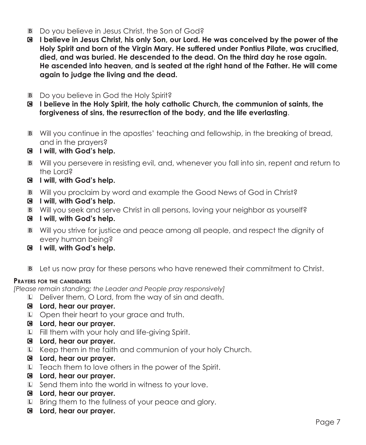- B Do you believe in Jesus Christ, the Son of God?
- C **I believe in Jesus Christ, his only Son, our Lord. He was conceived by the power of the Holy Spirit and born of the Virgin Mary. He suffered under Pontius Pilate, was crucified, died, and was buried. He descended to the dead. On the third day he rose again. He ascended into heaven, and is seated at the right hand of the Father. He will come again to judge the living and the dead.**
- B Do you believe in God the Holy Spirit?
- C **I believe in the Holy Spirit, the holy catholic Church, the communion of saints, the forgiveness of sins, the resurrection of the body, and the life everlasting**.
- B Will you continue in the apostles' teaching and fellowship, in the breaking of bread, and in the prayers?
- C **I will, with God's help.**
- B Will you persevere in resisting evil, and, whenever you fall into sin, repent and return to the Lord?
- C **I will, with God's help.**
- B Will you proclaim by word and example the Good News of God in Christ?
- C **I will, with God's help.**
- B Will you seek and serve Christ in all persons, loving your neighbor as yourself?
- C **I will, with God's help.**
- B Will you strive for justice and peace among all people, and respect the dignity of every human being?
- C **I will, with God's help.**
- B Let us now pray for these persons who have renewed their commitment to Christ.

#### **Prayers for the candidates**

*[Please remain standing; the Leader and People pray responsively]*

- L Deliver them, O Lord, from the way of sin and death.
- C **Lord, hear our prayer.**
- L Open their heart to your grace and truth.
- C **Lord, hear our prayer.**
- L Fill them with your holy and life-giving Spirit.
- C **Lord, hear our prayer.**
- L Keep them in the faith and communion of your holy Church.
- C **Lord, hear our prayer.**
- L Teach them to love others in the power of the Spirit.
- C **Lord, hear our prayer.**
- L Send them into the world in witness to your love.
- C **Lord, hear our prayer.**
- L Bring them to the fullness of your peace and glory.
- C **Lord, hear our prayer.**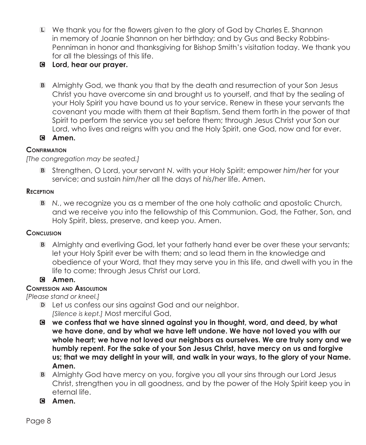- L We thank you for the flowers given to the glory of God by Charles E. Shannon in memory of Joanie Shannon on her birthday; and by Gus and Becky Robbins-Penniman in honor and thanksgiving for Bishop Smith's visitation today. We thank you for all the blessings of this life.
- C **Lord, hear our prayer.**
- B Almighty God, we thank you that by the death and resurrection of your Son Jesus Christ you have overcome sin and brought us to yourself, and that by the sealing of your Holy Spirit you have bound us to your service. Renew in these your servants the covenant you made with them at their Baptism. Send them forth in the power of that Spirit to perform the service you set before them; through Jesus Christ your Son our Lord, who lives and reigns with you and the Holy Spirit, one God, now and for ever.

C **Amen.**

#### **Confirmation**

*[The congregation may be seated.]*

B Strengthen, O Lord, your servant *N*. with your Holy Spirit; empower *him/her* for your service; and sustain *him/her* all the days of *his/her* life. Amen.

#### **Reception**

B *N.*, we recognize you as a member of the one holy catholic and apostolic Church, and we receive you into the fellowship of this Communion. God, the Father, Son, and Holy Spirit, bless, preserve, and keep you. Amen.

#### **CONCLUSION**

B Almighty and everliving God, let your fatherly hand ever be over these your servants; let your Holy Spirit ever be with them; and so lead them in the knowledge and obedience of your Word, that they may serve you in this life, and dwell with you in the life to come; through Jesus Christ our Lord.

### C **Amen.**

#### **Confession and Absolution**

*[Please stand or kneel.]*

- D Let us confess our sins against God and our neighbor.  *[Silence is kept.]* Most merciful God,
- C **we confess that we have sinned against you in thought, word, and deed, by what we have done, and by what we have left undone. We have not loved you with our whole heart; we have not loved our neighbors as ourselves. We are truly sorry and we humbly repent. For the sake of your Son Jesus Christ, have mercy on us and forgive us; that we may delight in your will, and walk in your ways, to the glory of your Name. Amen.**
- B Almighty God have mercy on you, forgive you all your sins through our Lord Jesus Christ, strengthen you in all goodness, and by the power of the Holy Spirit keep you in eternal life.
- C **Amen.**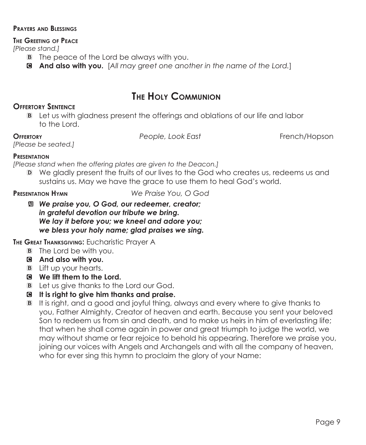#### **Prayers and Blessings**

#### **The Greeting of Peace**

*[Please stand.]*

- B The peace of the Lord be always with you.
- C **And also with you.** [*All may greet one another in the name of the Lord.*]

## **The Holy Communion**

#### **Offertory Sentence**

B Let us with gladness present the offerings and oblations of our life and labor to the Lord.

**Offertory** *People, Look East* French/Hopson

*[Please be seated.]* 

### **Presentation**

*[Please stand when the offering plates are given to the Deacon.]*

D We gladly present the fruits of our lives to the God who creates us, redeems us and sustains us. May we have the grace to use them to heal God's world.

**Presentation Hymn** *We Praise You, O God*

a *We praise you, O God, our redeemer, creator; in grateful devotion our tribute we bring. We lay it before you; we kneel and adore you; we bless your holy name; glad praises we sing.*

**The Great Thanksgiving:** Eucharistic Prayer A

- B The Lord be with you.
- C **And also with you.**
- B Lift up your hearts.
- C **We lift them to the Lord.**
- B Let us give thanks to the Lord our God.
- C **It is right to give him thanks and praise.**
- B It is right, and a good and joyful thing, always and every where to give thanks to you, Father Almighty, Creator of heaven and earth. Because you sent your beloved Son to redeem us from sin and death, and to make us heirs in him of everlasting life; that when he shall come again in power and great triumph to judge the world, we may without shame or fear rejoice to behold his appearing. Therefore we praise you, joining our voices with Angels and Archangels and with all the company of heaven, who for ever sing this hymn to proclaim the glory of your Name: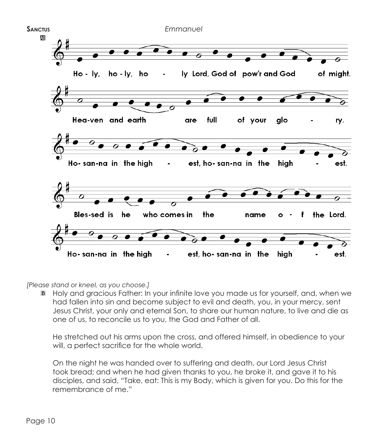

*[Please stand or kneel, as you choose.]*

B Holy and gracious Father: In your infinite love you made us for yourself, and, when we had fallen into sin and become subject to evil and death, you, in your mercy, sent Jesus Christ, your only and eternal Son, to share our human nature, to live and die as one of us, to reconcile us to you, the God and Father of all.

 He stretched out his arms upon the cross, and offered himself, in obedience to your will, a perfect sacrifice for the whole world.

 On the night he was handed over to suffering and death, our Lord Jesus Christ took bread; and when he had given thanks to you, he broke it, and gave it to his disciples, and said, "Take, eat: This is my Body, which is given for you. Do this for the remembrance of me."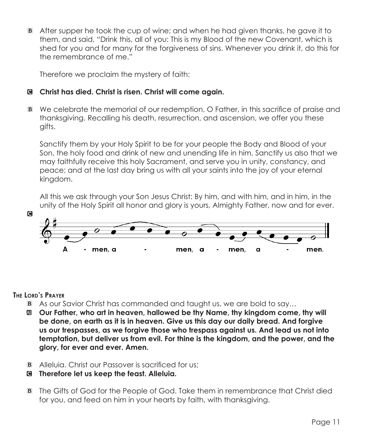B After supper he took the cup of wine; and when he had given thanks, he gave it to them, and said, "Drink this, all of you: This is my Blood of the new Covenant, which is shed for you and for many for the forgiveness of sins. Whenever you drink it, do this for the remembrance of me."

Therefore we proclaim the mystery of faith:

### C **Christ has died. Christ is risen. Christ will come again.**

B We celebrate the memorial of our redemption, O Father, in this sacrifice of praise and thanksgiving. Recalling his death, resurrection, and ascension, we offer you these gifts.

 Sanctify them by your Holy Spirit to be for your people the Body and Blood of your Son, the holy food and drink of new and unending life in him. Sanctify us also that we may faithfully receive this holy Sacrament, and serve you in unity, constancy, and peace; and at the last day bring us with all your saints into the joy of your eternal kingdom.

 All this we ask through your Son Jesus Christ: By him, and with him, and in him, in the unity of the Holy Spirit all honor and glory is yours, Almighty Father, now and for ever.



#### **The Lord's Prayer**

- B As our Savior Christ has commanded and taught us, we are bold to say…
- a **Our Father, who art in heaven, hallowed be thy Name, thy kingdom come, thy will be done, on earth as it is in heaven. Give us this day our daily bread. And forgive us our trespasses, as we forgive those who trespass against us. And lead us not into temptation, but deliver us from evil. For thine is the kingdom, and the power, and the glory, for ever and ever. Amen.**
- B Alleluia. Christ our Passover is sacrificed for us;
- C **Therefore let us keep the feast. Alleluia.**
- B The Gifts of God for the People of God. Take them in remembrance that Christ died for you, and feed on him in your hearts by faith, with thanksgiving.